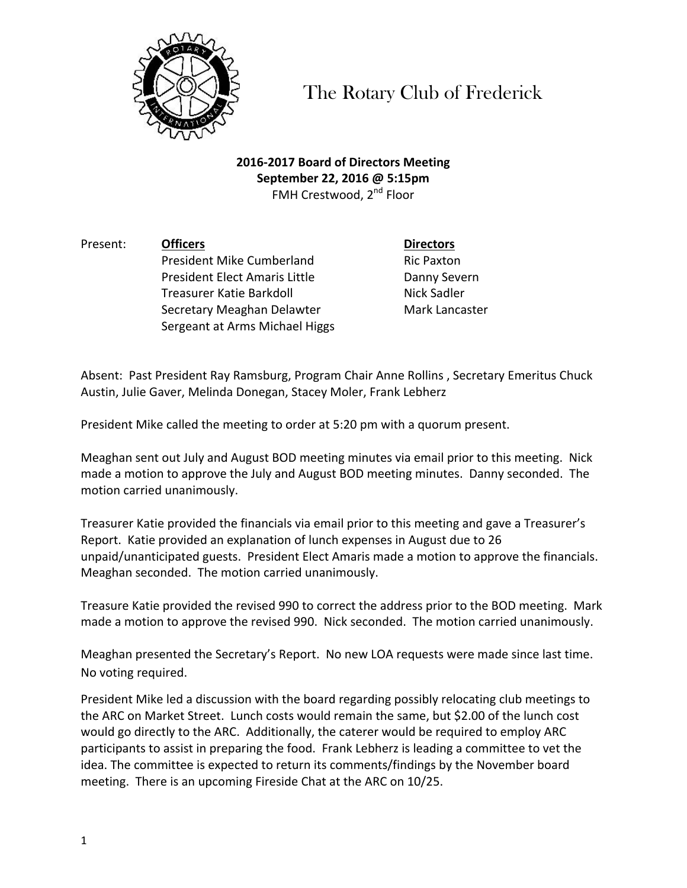

The Rotary Club of Frederick

**2016-2017 Board of Directors Meeting September 22, 2016 @ 5:15pm** FMH Crestwood, 2<sup>nd</sup> Floor

Present: **Officers Directors** President Mike Cumberland Ric Paxton President Elect Amaris Little **Danny Severn** Treasurer Katie Barkdoll Nick Sadler Secretary Meaghan Delawter Mark Lancaster Sergeant at Arms Michael Higgs

Absent: Past President Ray Ramsburg, Program Chair Anne Rollins, Secretary Emeritus Chuck Austin, Julie Gaver, Melinda Donegan, Stacey Moler, Frank Lebherz

President Mike called the meeting to order at 5:20 pm with a quorum present.

Meaghan sent out July and August BOD meeting minutes via email prior to this meeting. Nick made a motion to approve the July and August BOD meeting minutes. Danny seconded. The motion carried unanimously.

Treasurer Katie provided the financials via email prior to this meeting and gave a Treasurer's Report. Katie provided an explanation of lunch expenses in August due to 26 unpaid/unanticipated guests. President Elect Amaris made a motion to approve the financials. Meaghan seconded. The motion carried unanimously.

Treasure Katie provided the revised 990 to correct the address prior to the BOD meeting. Mark made a motion to approve the revised 990. Nick seconded. The motion carried unanimously.

Meaghan presented the Secretary's Report. No new LOA requests were made since last time. No voting required.

President Mike led a discussion with the board regarding possibly relocating club meetings to the ARC on Market Street. Lunch costs would remain the same, but \$2.00 of the lunch cost would go directly to the ARC. Additionally, the caterer would be required to employ ARC participants to assist in preparing the food. Frank Lebherz is leading a committee to vet the idea. The committee is expected to return its comments/findings by the November board meeting. There is an upcoming Fireside Chat at the ARC on 10/25.